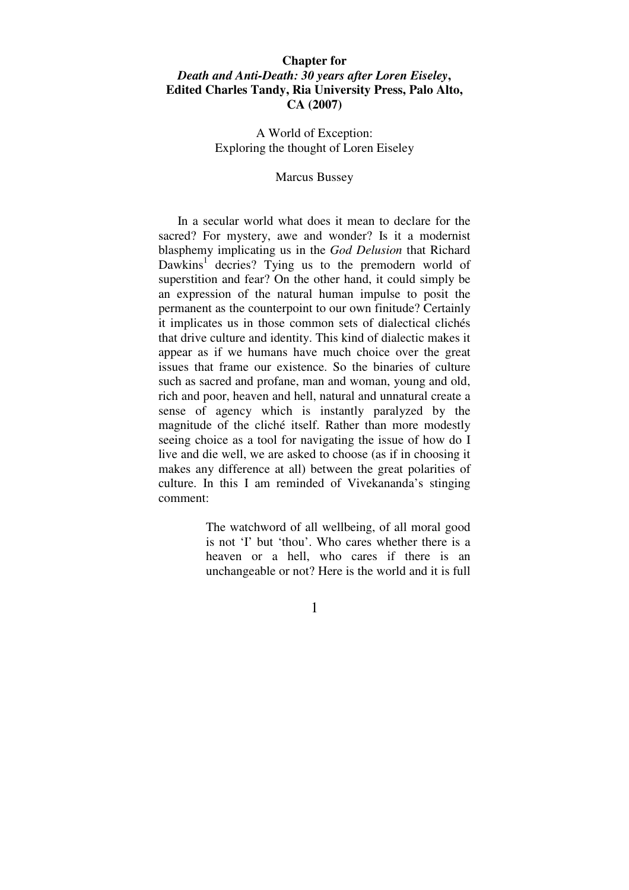# **Chapter for**  *Death and Anti-Death: 30 years after Loren Eiseley***, Edited Charles Tandy, Ria University Press, Palo Alto, CA (2007)**

A World of Exception: Exploring the thought of Loren Eiseley

#### Marcus Bussey

 In a secular world what does it mean to declare for the sacred? For mystery, awe and wonder? Is it a modernist blasphemy implicating us in the *God Delusion* that Richard Dawkins<sup>1</sup> decries? Tying us to the premodern world of superstition and fear? On the other hand, it could simply be an expression of the natural human impulse to posit the permanent as the counterpoint to our own finitude? Certainly it implicates us in those common sets of dialectical clichés that drive culture and identity. This kind of dialectic makes it appear as if we humans have much choice over the great issues that frame our existence. So the binaries of culture such as sacred and profane, man and woman, young and old, rich and poor, heaven and hell, natural and unnatural create a sense of agency which is instantly paralyzed by the magnitude of the cliché itself. Rather than more modestly seeing choice as a tool for navigating the issue of how do I live and die well, we are asked to choose (as if in choosing it makes any difference at all) between the great polarities of culture. In this I am reminded of Vivekananda's stinging comment:

> The watchword of all wellbeing, of all moral good is not 'I' but 'thou'. Who cares whether there is a heaven or a hell, who cares if there is an unchangeable or not? Here is the world and it is full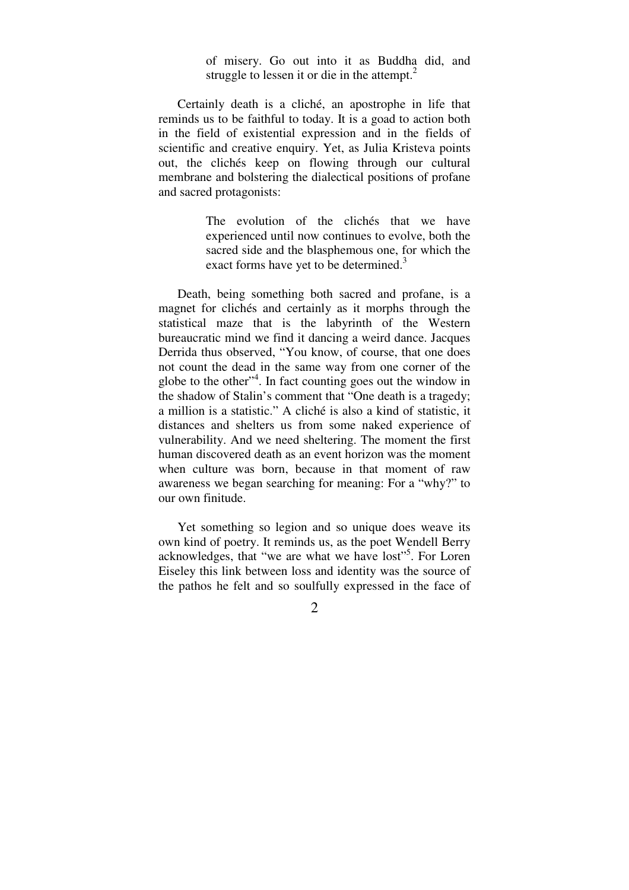of misery. Go out into it as Buddha did, and struggle to lessen it or die in the attempt. $2$ 

 Certainly death is a cliché, an apostrophe in life that reminds us to be faithful to today. It is a goad to action both in the field of existential expression and in the fields of scientific and creative enquiry. Yet, as Julia Kristeva points out, the clichés keep on flowing through our cultural membrane and bolstering the dialectical positions of profane and sacred protagonists:

> The evolution of the clichés that we have experienced until now continues to evolve, both the sacred side and the blasphemous one, for which the exact forms have yet to be determined.<sup>3</sup>

 Death, being something both sacred and profane, is a magnet for clichés and certainly as it morphs through the statistical maze that is the labyrinth of the Western bureaucratic mind we find it dancing a weird dance. Jacques Derrida thus observed, "You know, of course, that one does not count the dead in the same way from one corner of the globe to the other" $4$ . In fact counting goes out the window in the shadow of Stalin's comment that "One death is a tragedy; a million is a statistic." A cliché is also a kind of statistic, it distances and shelters us from some naked experience of vulnerability. And we need sheltering. The moment the first human discovered death as an event horizon was the moment when culture was born, because in that moment of raw awareness we began searching for meaning: For a "why?" to our own finitude.

 Yet something so legion and so unique does weave its own kind of poetry. It reminds us, as the poet Wendell Berry acknowledges, that "we are what we have lost"<sup>5</sup>. For Loren Eiseley this link between loss and identity was the source of the pathos he felt and so soulfully expressed in the face of

 $\mathcal{L}$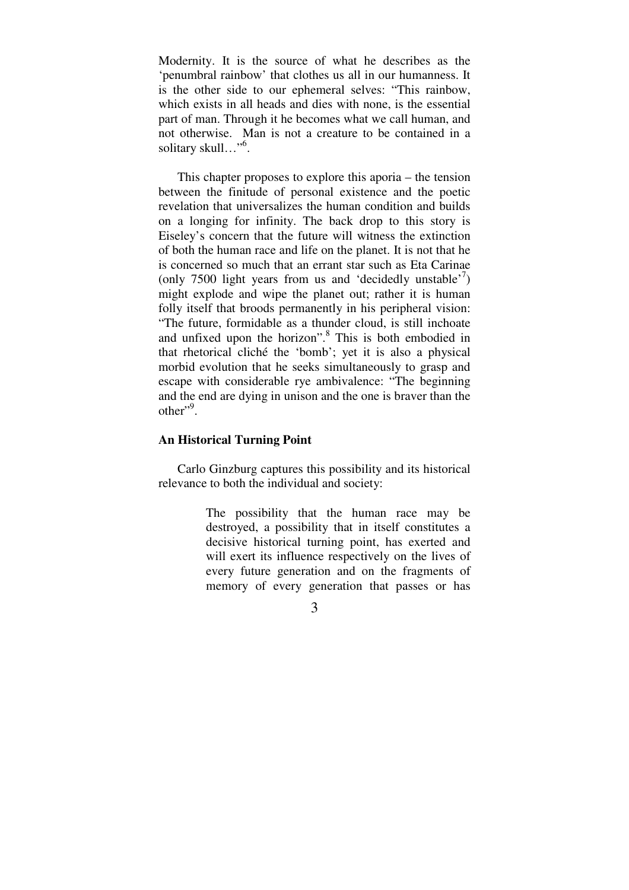Modernity. It is the source of what he describes as the 'penumbral rainbow' that clothes us all in our humanness. It is the other side to our ephemeral selves: "This rainbow, which exists in all heads and dies with none, is the essential part of man. Through it he becomes what we call human, and not otherwise. Man is not a creature to be contained in a solitary skull…"<sup>6</sup> .

 This chapter proposes to explore this aporia – the tension between the finitude of personal existence and the poetic revelation that universalizes the human condition and builds on a longing for infinity. The back drop to this story is Eiseley's concern that the future will witness the extinction of both the human race and life on the planet. It is not that he is concerned so much that an errant star such as Eta Carinae (only 7500 light years from us and 'decidedly unstable'<sup>7</sup>) might explode and wipe the planet out; rather it is human folly itself that broods permanently in his peripheral vision: "The future, formidable as a thunder cloud, is still inchoate and unfixed upon the horizon".<sup>8</sup> This is both embodied in that rhetorical cliché the 'bomb'; yet it is also a physical morbid evolution that he seeks simultaneously to grasp and escape with considerable rye ambivalence: "The beginning and the end are dying in unison and the one is braver than the  $other$ <sup>",9</sup>.

## **An Historical Turning Point**

 Carlo Ginzburg captures this possibility and its historical relevance to both the individual and society:

> The possibility that the human race may be destroyed, a possibility that in itself constitutes a decisive historical turning point, has exerted and will exert its influence respectively on the lives of every future generation and on the fragments of memory of every generation that passes or has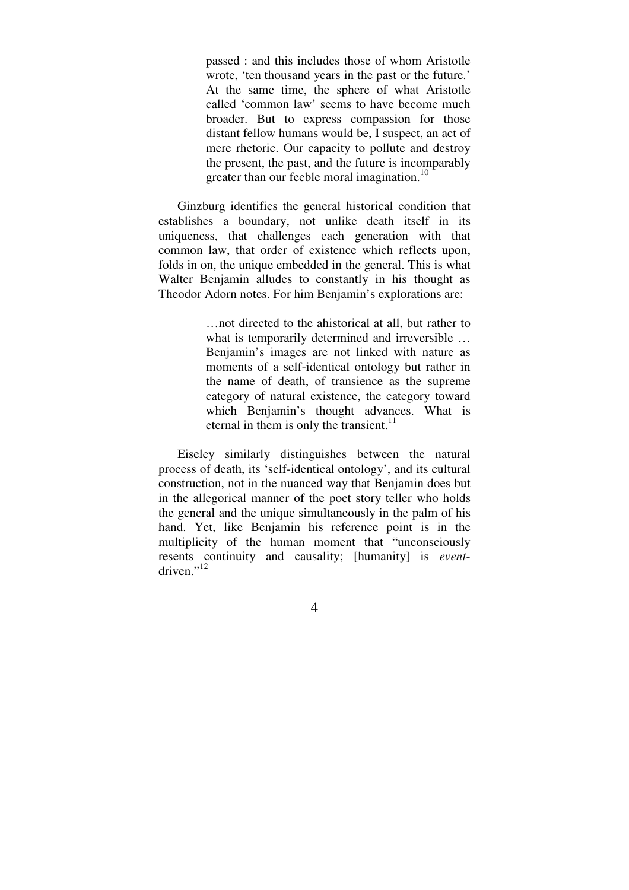passed : and this includes those of whom Aristotle wrote, 'ten thousand years in the past or the future.' At the same time, the sphere of what Aristotle called 'common law' seems to have become much broader. But to express compassion for those distant fellow humans would be, I suspect, an act of mere rhetoric. Our capacity to pollute and destroy the present, the past, and the future is incomparably greater than our feeble moral imagination.<sup>10</sup>

 Ginzburg identifies the general historical condition that establishes a boundary, not unlike death itself in its uniqueness, that challenges each generation with that common law, that order of existence which reflects upon, folds in on, the unique embedded in the general. This is what Walter Benjamin alludes to constantly in his thought as Theodor Adorn notes. For him Benjamin's explorations are:

> …not directed to the ahistorical at all, but rather to what is temporarily determined and irreversible ... Benjamin's images are not linked with nature as moments of a self-identical ontology but rather in the name of death, of transience as the supreme category of natural existence, the category toward which Benjamin's thought advances. What is eternal in them is only the transient. $11$

 Eiseley similarly distinguishes between the natural process of death, its 'self-identical ontology', and its cultural construction, not in the nuanced way that Benjamin does but in the allegorical manner of the poet story teller who holds the general and the unique simultaneously in the palm of his hand. Yet, like Benjamin his reference point is in the multiplicity of the human moment that "unconsciously resents continuity and causality; [humanity] is *event*driven $"$ <sup>12</sup>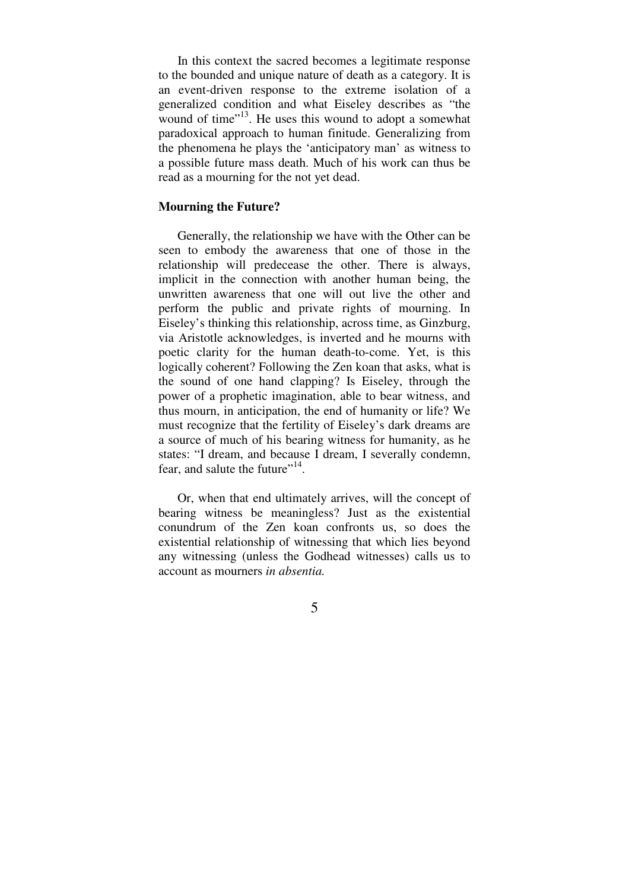In this context the sacred becomes a legitimate response to the bounded and unique nature of death as a category. It is an event-driven response to the extreme isolation of a generalized condition and what Eiseley describes as "the wound of time"<sup>13</sup>. He uses this wound to adopt a somewhat paradoxical approach to human finitude. Generalizing from the phenomena he plays the 'anticipatory man' as witness to a possible future mass death. Much of his work can thus be read as a mourning for the not yet dead.

# **Mourning the Future?**

 Generally, the relationship we have with the Other can be seen to embody the awareness that one of those in the relationship will predecease the other. There is always, implicit in the connection with another human being, the unwritten awareness that one will out live the other and perform the public and private rights of mourning. In Eiseley's thinking this relationship, across time, as Ginzburg, via Aristotle acknowledges, is inverted and he mourns with poetic clarity for the human death-to-come. Yet, is this logically coherent? Following the Zen koan that asks, what is the sound of one hand clapping? Is Eiseley, through the power of a prophetic imagination, able to bear witness, and thus mourn, in anticipation, the end of humanity or life? We must recognize that the fertility of Eiseley's dark dreams are a source of much of his bearing witness for humanity, as he states: "I dream, and because I dream, I severally condemn, fear, and salute the future"<sup>14</sup>.

 Or, when that end ultimately arrives, will the concept of bearing witness be meaningless? Just as the existential conundrum of the Zen koan confronts us, so does the existential relationship of witnessing that which lies beyond any witnessing (unless the Godhead witnesses) calls us to account as mourners *in absentia.*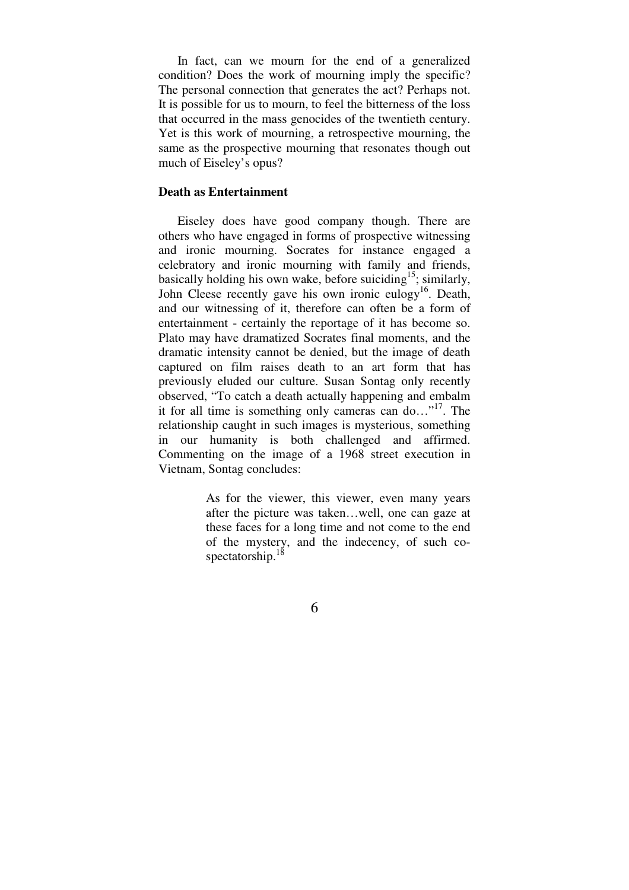In fact, can we mourn for the end of a generalized condition? Does the work of mourning imply the specific? The personal connection that generates the act? Perhaps not. It is possible for us to mourn, to feel the bitterness of the loss that occurred in the mass genocides of the twentieth century. Yet is this work of mourning, a retrospective mourning, the same as the prospective mourning that resonates though out much of Eiseley's opus?

### **Death as Entertainment**

 Eiseley does have good company though. There are others who have engaged in forms of prospective witnessing and ironic mourning. Socrates for instance engaged a celebratory and ironic mourning with family and friends, basically holding his own wake, before suiciding<sup>15</sup>; similarly, John Cleese recently gave his own ironic eulogy<sup>16</sup>. Death, and our witnessing of it, therefore can often be a form of entertainment - certainly the reportage of it has become so. Plato may have dramatized Socrates final moments, and the dramatic intensity cannot be denied, but the image of death captured on film raises death to an art form that has previously eluded our culture. Susan Sontag only recently observed, "To catch a death actually happening and embalm it for all time is something only cameras can do..."<sup>17</sup>. The relationship caught in such images is mysterious, something in our humanity is both challenged and affirmed. Commenting on the image of a 1968 street execution in Vietnam, Sontag concludes:

> As for the viewer, this viewer, even many years after the picture was taken…well, one can gaze at these faces for a long time and not come to the end of the mystery, and the indecency, of such cospectatorship.<sup>18</sup>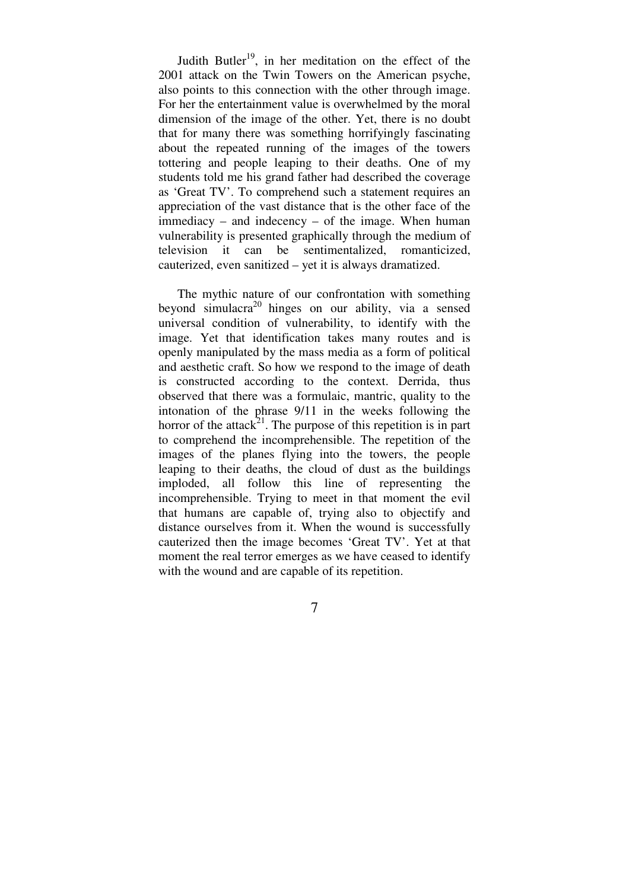Judith Butler<sup>19</sup>, in her meditation on the effect of the 2001 attack on the Twin Towers on the American psyche, also points to this connection with the other through image. For her the entertainment value is overwhelmed by the moral dimension of the image of the other. Yet, there is no doubt that for many there was something horrifyingly fascinating about the repeated running of the images of the towers tottering and people leaping to their deaths. One of my students told me his grand father had described the coverage as 'Great TV'. To comprehend such a statement requires an appreciation of the vast distance that is the other face of the immediacy – and indecency – of the image. When human vulnerability is presented graphically through the medium of television it can be sentimentalized, romanticized, cauterized, even sanitized – yet it is always dramatized.

 The mythic nature of our confrontation with something beyond simulacra<sup>20</sup> hinges on our ability, via a sensed universal condition of vulnerability, to identify with the image. Yet that identification takes many routes and is openly manipulated by the mass media as a form of political and aesthetic craft. So how we respond to the image of death is constructed according to the context. Derrida, thus observed that there was a formulaic, mantric, quality to the intonation of the phrase 9/11 in the weeks following the horror of the attack<sup>21</sup>. The purpose of this repetition is in part to comprehend the incomprehensible. The repetition of the images of the planes flying into the towers, the people leaping to their deaths, the cloud of dust as the buildings imploded, all follow this line of representing the incomprehensible. Trying to meet in that moment the evil that humans are capable of, trying also to objectify and distance ourselves from it. When the wound is successfully cauterized then the image becomes 'Great TV'. Yet at that moment the real terror emerges as we have ceased to identify with the wound and are capable of its repetition.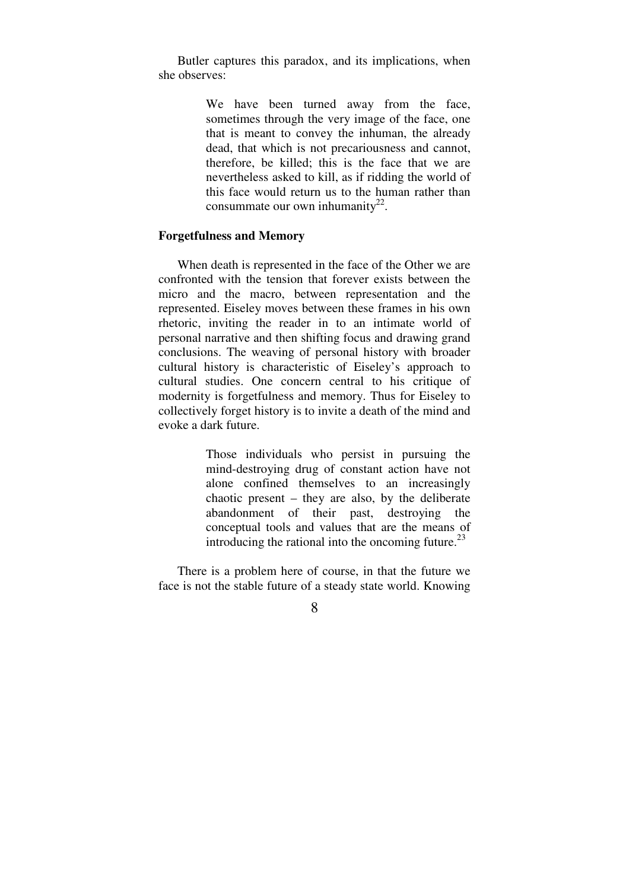Butler captures this paradox, and its implications, when she observes:

> We have been turned away from the face, sometimes through the very image of the face, one that is meant to convey the inhuman, the already dead, that which is not precariousness and cannot, therefore, be killed; this is the face that we are nevertheless asked to kill, as if ridding the world of this face would return us to the human rather than consummate our own inhumanity<sup>22</sup>.

# **Forgetfulness and Memory**

 When death is represented in the face of the Other we are confronted with the tension that forever exists between the micro and the macro, between representation and the represented. Eiseley moves between these frames in his own rhetoric, inviting the reader in to an intimate world of personal narrative and then shifting focus and drawing grand conclusions. The weaving of personal history with broader cultural history is characteristic of Eiseley's approach to cultural studies. One concern central to his critique of modernity is forgetfulness and memory. Thus for Eiseley to collectively forget history is to invite a death of the mind and evoke a dark future.

> Those individuals who persist in pursuing the mind-destroying drug of constant action have not alone confined themselves to an increasingly chaotic present – they are also, by the deliberate abandonment of their past, destroying the conceptual tools and values that are the means of introducing the rational into the oncoming future.<sup>23</sup>

 There is a problem here of course, in that the future we face is not the stable future of a steady state world. Knowing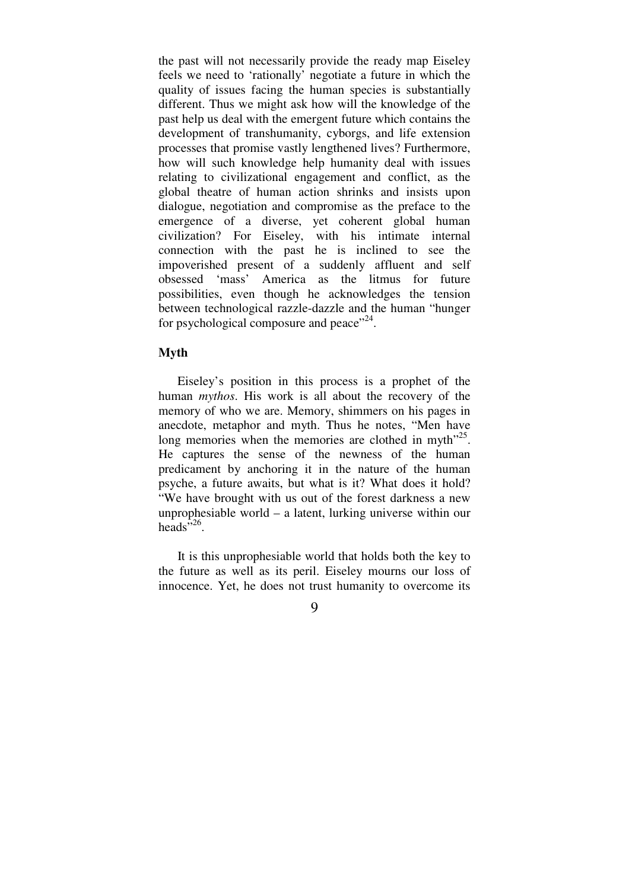the past will not necessarily provide the ready map Eiseley feels we need to 'rationally' negotiate a future in which the quality of issues facing the human species is substantially different. Thus we might ask how will the knowledge of the past help us deal with the emergent future which contains the development of transhumanity, cyborgs, and life extension processes that promise vastly lengthened lives? Furthermore, how will such knowledge help humanity deal with issues relating to civilizational engagement and conflict, as the global theatre of human action shrinks and insists upon dialogue, negotiation and compromise as the preface to the emergence of a diverse, yet coherent global human civilization? For Eiseley, with his intimate internal connection with the past he is inclined to see the impoverished present of a suddenly affluent and self obsessed 'mass' America as the litmus for future possibilities, even though he acknowledges the tension between technological razzle-dazzle and the human "hunger for psychological composure and peace"<sup>24</sup>.

# **Myth**

 Eiseley's position in this process is a prophet of the human *mythos*. His work is all about the recovery of the memory of who we are. Memory, shimmers on his pages in anecdote, metaphor and myth. Thus he notes, "Men have long memories when the memories are clothed in myth<sup>"25</sup>. He captures the sense of the newness of the human predicament by anchoring it in the nature of the human psyche, a future awaits, but what is it? What does it hold? "We have brought with us out of the forest darkness a new unprophesiable world – a latent, lurking universe within our heads<sup> $5,26$ </sup>.

 It is this unprophesiable world that holds both the key to the future as well as its peril. Eiseley mourns our loss of innocence. Yet, he does not trust humanity to overcome its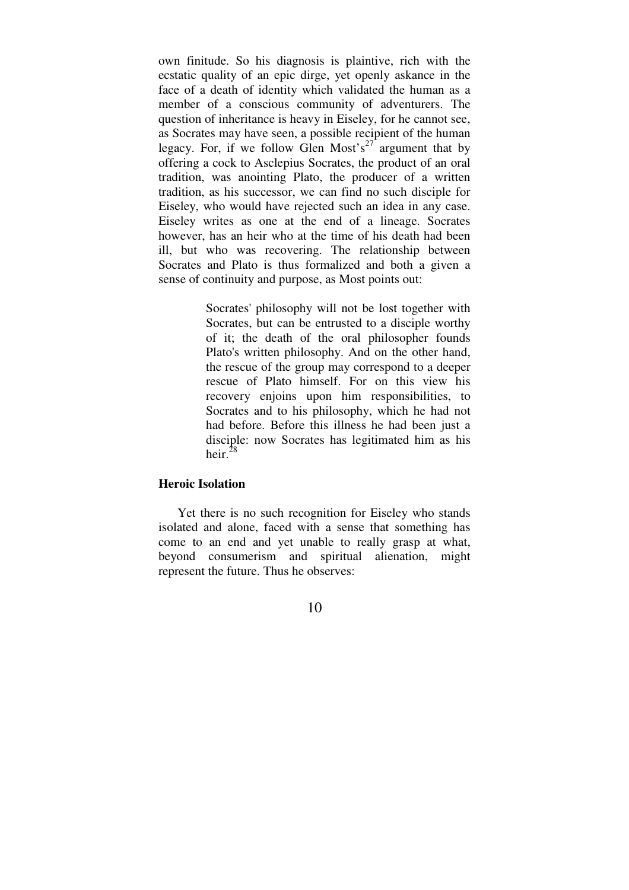own finitude. So his diagnosis is plaintive, rich with the ecstatic quality of an epic dirge, yet openly askance in the face of a death of identity which validated the human as a member of a conscious community of adventurers. The question of inheritance is heavy in Eiseley, for he cannot see, as Socrates may have seen, a possible recipient of the human legacy. For, if we follow Glen Most's<sup>27</sup> argument that by offering a cock to Asclepius Socrates, the product of an oral tradition, was anointing Plato, the producer of a written tradition, as his successor, we can find no such disciple for Eiseley, who would have rejected such an idea in any case. Eiseley writes as one at the end of a lineage. Socrates however, has an heir who at the time of his death had been ill, but who was recovering. The relationship between Socrates and Plato is thus formalized and both a given a sense of continuity and purpose, as Most points out:

> Socrates' philosophy will not be lost together with Socrates, but can be entrusted to a disciple worthy of it; the death of the oral philosopher founds Plato's written philosophy. And on the other hand, the rescue of the group may correspond to a deeper rescue of Plato himself. For on this view his recovery enjoins upon him responsibilities, to Socrates and to his philosophy, which he had not had before. Before this illness he had been just a disciple: now Socrates has legitimated him as his heir. $^{28}$

### **Heroic Isolation**

 Yet there is no such recognition for Eiseley who stands isolated and alone, faced with a sense that something has come to an end and yet unable to really grasp at what, beyond consumerism and spiritual alienation, might represent the future. Thus he observes: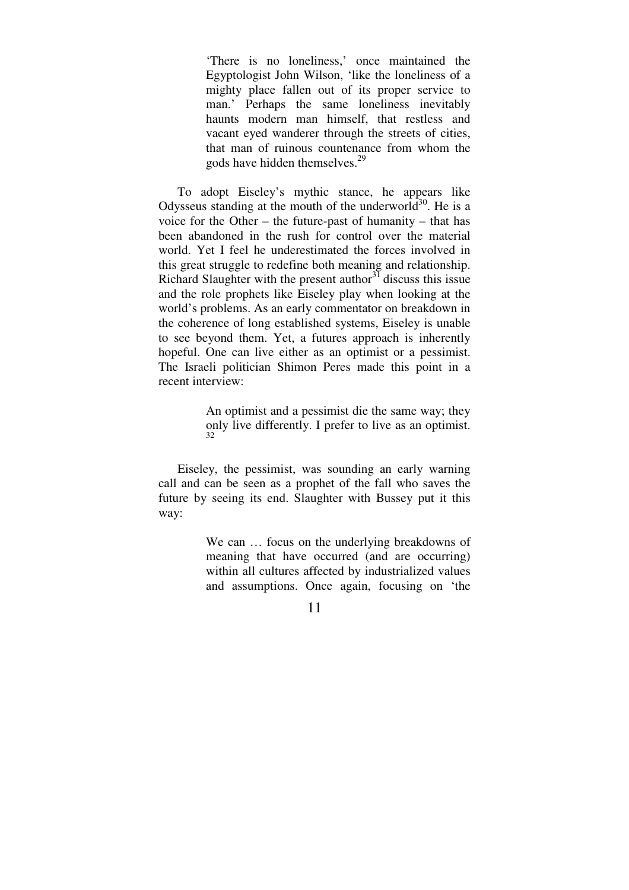'There is no loneliness,' once maintained the Egyptologist John Wilson, 'like the loneliness of a mighty place fallen out of its proper service to man.' Perhaps the same loneliness inevitably haunts modern man himself, that restless and vacant eyed wanderer through the streets of cities, that man of ruinous countenance from whom the gods have hidden themselves.<sup>29</sup>

 To adopt Eiseley's mythic stance, he appears like Odysseus standing at the mouth of the underworld<sup>30</sup>. He is a voice for the Other – the future-past of humanity – that has been abandoned in the rush for control over the material world. Yet I feel he underestimated the forces involved in this great struggle to redefine both meaning and relationship. Richard Slaughter with the present author<sup>31</sup> discuss this issue and the role prophets like Eiseley play when looking at the world's problems. As an early commentator on breakdown in the coherence of long established systems, Eiseley is unable to see beyond them. Yet, a futures approach is inherently hopeful. One can live either as an optimist or a pessimist. The Israeli politician Shimon Peres made this point in a recent interview:

> An optimist and a pessimist die the same way; they only live differently. I prefer to live as an optimist. 32

 Eiseley, the pessimist, was sounding an early warning call and can be seen as a prophet of the fall who saves the future by seeing its end. Slaughter with Bussey put it this way:

> We can  $\ldots$  focus on the underlying breakdowns of meaning that have occurred (and are occurring) within all cultures affected by industrialized values and assumptions. Once again, focusing on 'the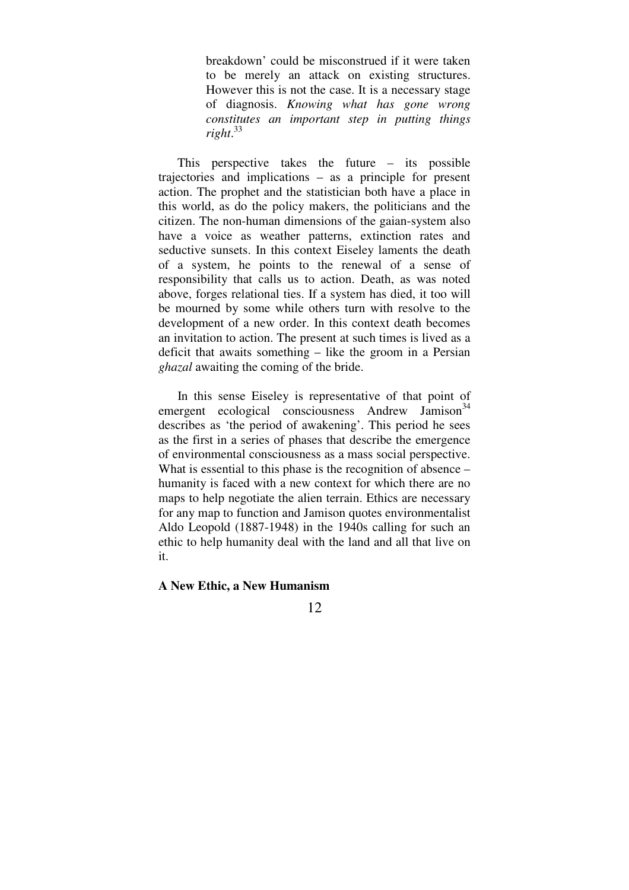breakdown' could be misconstrued if it were taken to be merely an attack on existing structures. However this is not the case. It is a necessary stage of diagnosis. *Knowing what has gone wrong constitutes an important step in putting things right*. 33

 This perspective takes the future – its possible trajectories and implications – as a principle for present action. The prophet and the statistician both have a place in this world, as do the policy makers, the politicians and the citizen. The non-human dimensions of the gaian-system also have a voice as weather patterns, extinction rates and seductive sunsets. In this context Eiseley laments the death of a system, he points to the renewal of a sense of responsibility that calls us to action. Death, as was noted above, forges relational ties. If a system has died, it too will be mourned by some while others turn with resolve to the development of a new order. In this context death becomes an invitation to action. The present at such times is lived as a deficit that awaits something – like the groom in a Persian *ghazal* awaiting the coming of the bride.

 In this sense Eiseley is representative of that point of emergent ecological consciousness Andrew Jamison<sup>34</sup> describes as 'the period of awakening'. This period he sees as the first in a series of phases that describe the emergence of environmental consciousness as a mass social perspective. What is essential to this phase is the recognition of absence – humanity is faced with a new context for which there are no maps to help negotiate the alien terrain. Ethics are necessary for any map to function and Jamison quotes environmentalist Aldo Leopold (1887-1948) in the 1940s calling for such an ethic to help humanity deal with the land and all that live on it.

# **A New Ethic, a New Humanism**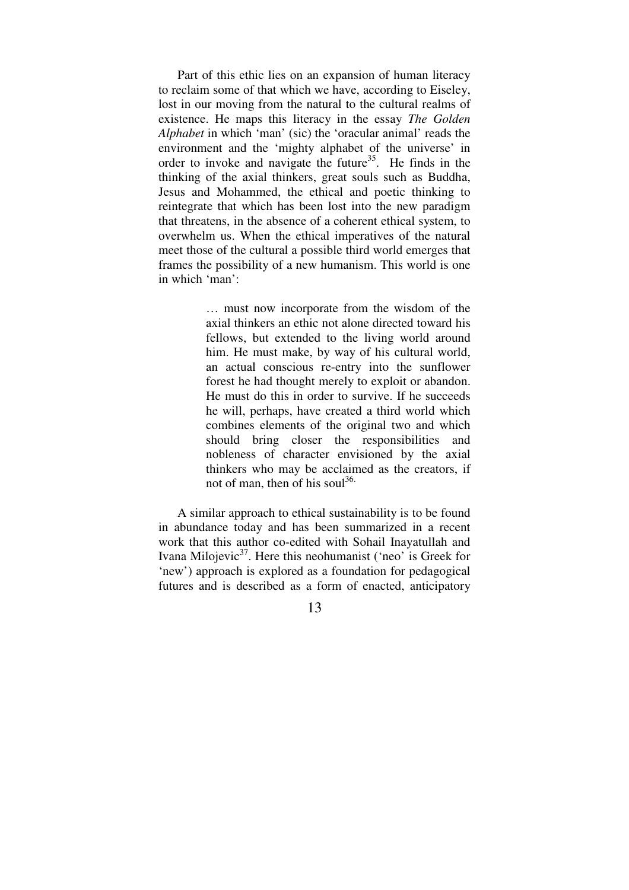Part of this ethic lies on an expansion of human literacy to reclaim some of that which we have, according to Eiseley, lost in our moving from the natural to the cultural realms of existence. He maps this literacy in the essay *The Golden Alphabet* in which 'man' (sic) the 'oracular animal' reads the environment and the 'mighty alphabet of the universe' in order to invoke and navigate the future<sup>35</sup>. He finds in the thinking of the axial thinkers, great souls such as Buddha, Jesus and Mohammed, the ethical and poetic thinking to reintegrate that which has been lost into the new paradigm that threatens, in the absence of a coherent ethical system, to overwhelm us. When the ethical imperatives of the natural meet those of the cultural a possible third world emerges that frames the possibility of a new humanism. This world is one in which 'man':

> … must now incorporate from the wisdom of the axial thinkers an ethic not alone directed toward his fellows, but extended to the living world around him. He must make, by way of his cultural world, an actual conscious re-entry into the sunflower forest he had thought merely to exploit or abandon. He must do this in order to survive. If he succeeds he will, perhaps, have created a third world which combines elements of the original two and which should bring closer the responsibilities and nobleness of character envisioned by the axial thinkers who may be acclaimed as the creators, if not of man, then of his soul<sup>36.</sup>

 A similar approach to ethical sustainability is to be found in abundance today and has been summarized in a recent work that this author co-edited with Sohail Inayatullah and Ivana Milojevic $3^7$ . Here this neohumanist ('neo' is Greek for 'new') approach is explored as a foundation for pedagogical futures and is described as a form of enacted, anticipatory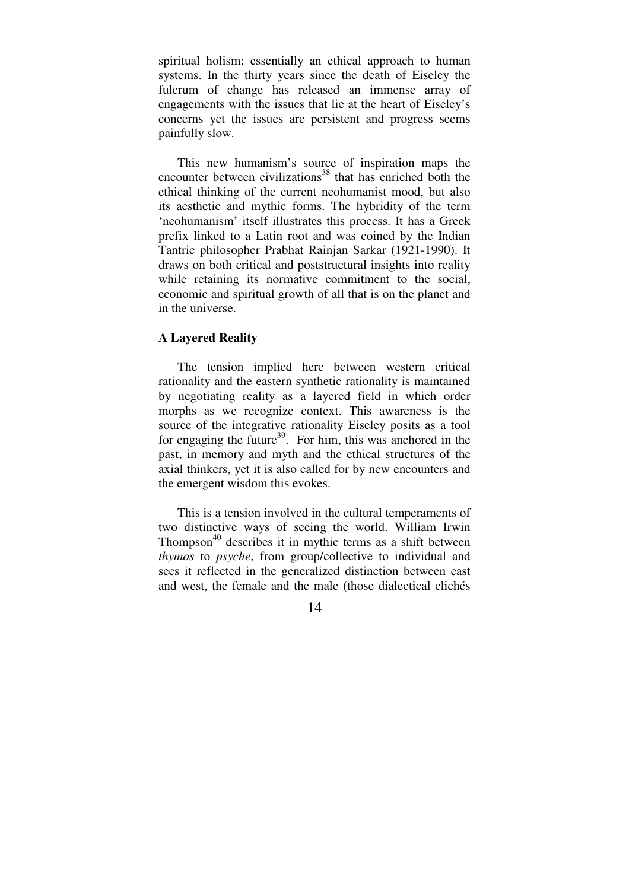spiritual holism: essentially an ethical approach to human systems. In the thirty years since the death of Eiseley the fulcrum of change has released an immense array of engagements with the issues that lie at the heart of Eiseley's concerns yet the issues are persistent and progress seems painfully slow.

 This new humanism's source of inspiration maps the encounter between civilizations<sup>38</sup> that has enriched both the ethical thinking of the current neohumanist mood, but also its aesthetic and mythic forms. The hybridity of the term 'neohumanism' itself illustrates this process. It has a Greek prefix linked to a Latin root and was coined by the Indian Tantric philosopher Prabhat Rainjan Sarkar (1921-1990). It draws on both critical and poststructural insights into reality while retaining its normative commitment to the social, economic and spiritual growth of all that is on the planet and in the universe.

# **A Layered Reality**

 The tension implied here between western critical rationality and the eastern synthetic rationality is maintained by negotiating reality as a layered field in which order morphs as we recognize context. This awareness is the source of the integrative rationality Eiseley posits as a tool for engaging the future<sup>39</sup>. For him, this was anchored in the past, in memory and myth and the ethical structures of the axial thinkers, yet it is also called for by new encounters and the emergent wisdom this evokes.

 This is a tension involved in the cultural temperaments of two distinctive ways of seeing the world. William Irwin Thompson<sup>40</sup> describes it in mythic terms as a shift between *thymos* to *psyche*, from group/collective to individual and sees it reflected in the generalized distinction between east and west, the female and the male (those dialectical clichés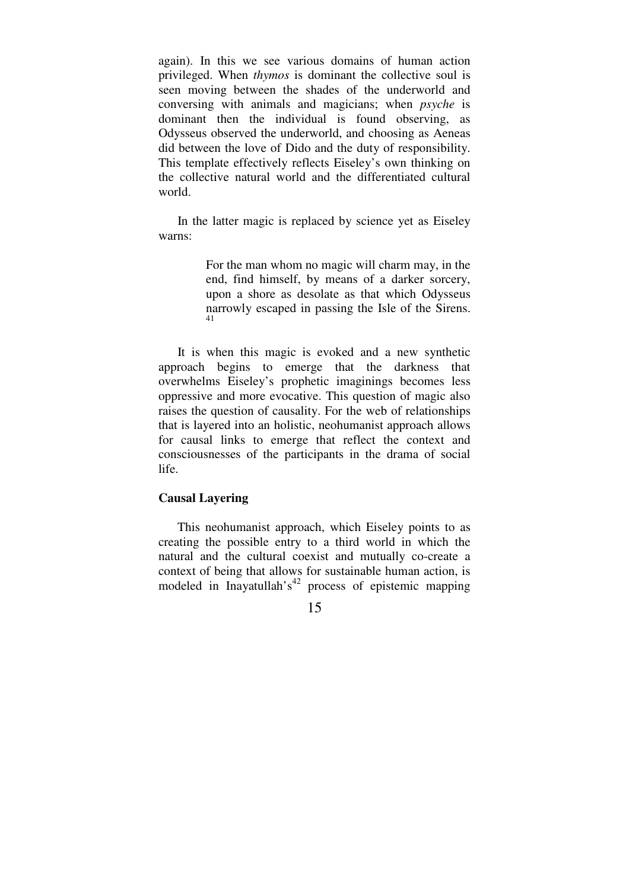again). In this we see various domains of human action privileged. When *thymos* is dominant the collective soul is seen moving between the shades of the underworld and conversing with animals and magicians; when *psyche* is dominant then the individual is found observing, as Odysseus observed the underworld, and choosing as Aeneas did between the love of Dido and the duty of responsibility. This template effectively reflects Eiseley's own thinking on the collective natural world and the differentiated cultural world.

 In the latter magic is replaced by science yet as Eiseley warns:

> For the man whom no magic will charm may, in the end, find himself, by means of a darker sorcery, upon a shore as desolate as that which Odysseus narrowly escaped in passing the Isle of the Sirens. 41

 It is when this magic is evoked and a new synthetic approach begins to emerge that the darkness that overwhelms Eiseley's prophetic imaginings becomes less oppressive and more evocative. This question of magic also raises the question of causality. For the web of relationships that is layered into an holistic, neohumanist approach allows for causal links to emerge that reflect the context and consciousnesses of the participants in the drama of social life.

# **Causal Layering**

 This neohumanist approach, which Eiseley points to as creating the possible entry to a third world in which the natural and the cultural coexist and mutually co-create a context of being that allows for sustainable human action, is modeled in Inayatullah's<sup>42</sup> process of epistemic mapping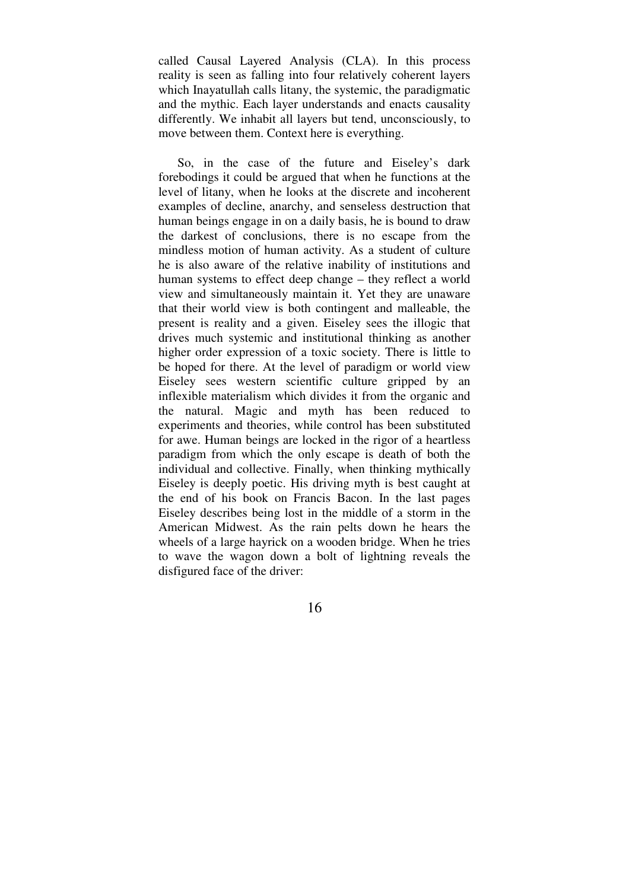called Causal Layered Analysis (CLA). In this process reality is seen as falling into four relatively coherent layers which Inayatullah calls litany, the systemic, the paradigmatic and the mythic. Each layer understands and enacts causality differently. We inhabit all layers but tend, unconsciously, to move between them. Context here is everything.

 So, in the case of the future and Eiseley's dark forebodings it could be argued that when he functions at the level of litany, when he looks at the discrete and incoherent examples of decline, anarchy, and senseless destruction that human beings engage in on a daily basis, he is bound to draw the darkest of conclusions, there is no escape from the mindless motion of human activity. As a student of culture he is also aware of the relative inability of institutions and human systems to effect deep change – they reflect a world view and simultaneously maintain it. Yet they are unaware that their world view is both contingent and malleable, the present is reality and a given. Eiseley sees the illogic that drives much systemic and institutional thinking as another higher order expression of a toxic society. There is little to be hoped for there. At the level of paradigm or world view Eiseley sees western scientific culture gripped by an inflexible materialism which divides it from the organic and the natural. Magic and myth has been reduced to experiments and theories, while control has been substituted for awe. Human beings are locked in the rigor of a heartless paradigm from which the only escape is death of both the individual and collective. Finally, when thinking mythically Eiseley is deeply poetic. His driving myth is best caught at the end of his book on Francis Bacon. In the last pages Eiseley describes being lost in the middle of a storm in the American Midwest. As the rain pelts down he hears the wheels of a large hayrick on a wooden bridge. When he tries to wave the wagon down a bolt of lightning reveals the disfigured face of the driver: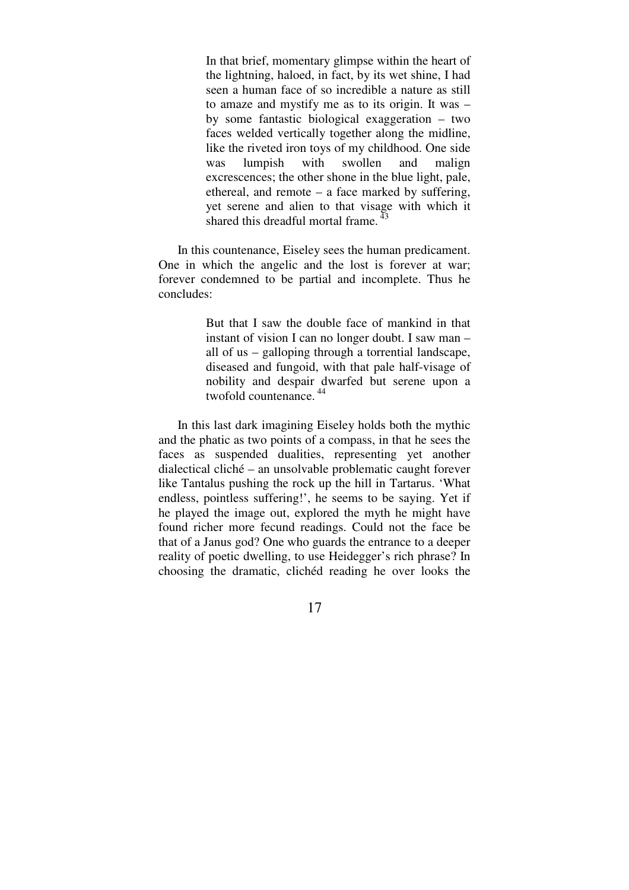In that brief, momentary glimpse within the heart of the lightning, haloed, in fact, by its wet shine, I had seen a human face of so incredible a nature as still to amaze and mystify me as to its origin. It was – by some fantastic biological exaggeration – two faces welded vertically together along the midline, like the riveted iron toys of my childhood. One side was lumpish with swollen and malign excrescences; the other shone in the blue light, pale, ethereal, and remote – a face marked by suffering, yet serene and alien to that visage with which it shared this dreadful mortal frame.  $43$ 

 In this countenance, Eiseley sees the human predicament. One in which the angelic and the lost is forever at war; forever condemned to be partial and incomplete. Thus he concludes:

> But that I saw the double face of mankind in that instant of vision I can no longer doubt. I saw man – all of us – galloping through a torrential landscape, diseased and fungoid, with that pale half-visage of nobility and despair dwarfed but serene upon a twofold countenance.<sup>44</sup>

 In this last dark imagining Eiseley holds both the mythic and the phatic as two points of a compass, in that he sees the faces as suspended dualities, representing yet another dialectical cliché – an unsolvable problematic caught forever like Tantalus pushing the rock up the hill in Tartarus. 'What endless, pointless suffering!', he seems to be saying. Yet if he played the image out, explored the myth he might have found richer more fecund readings. Could not the face be that of a Janus god? One who guards the entrance to a deeper reality of poetic dwelling, to use Heidegger's rich phrase? In choosing the dramatic, clichéd reading he over looks the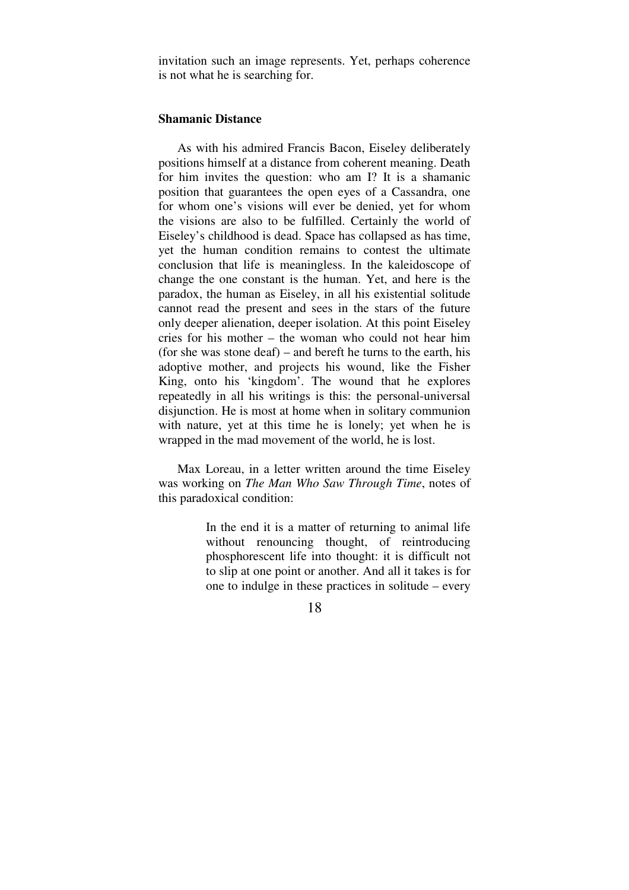invitation such an image represents. Yet, perhaps coherence is not what he is searching for.

### **Shamanic Distance**

 As with his admired Francis Bacon, Eiseley deliberately positions himself at a distance from coherent meaning. Death for him invites the question: who am I? It is a shamanic position that guarantees the open eyes of a Cassandra, one for whom one's visions will ever be denied, yet for whom the visions are also to be fulfilled. Certainly the world of Eiseley's childhood is dead. Space has collapsed as has time, yet the human condition remains to contest the ultimate conclusion that life is meaningless. In the kaleidoscope of change the one constant is the human. Yet, and here is the paradox, the human as Eiseley, in all his existential solitude cannot read the present and sees in the stars of the future only deeper alienation, deeper isolation. At this point Eiseley cries for his mother – the woman who could not hear him (for she was stone deaf) – and bereft he turns to the earth, his adoptive mother, and projects his wound, like the Fisher King, onto his 'kingdom'. The wound that he explores repeatedly in all his writings is this: the personal-universal disjunction. He is most at home when in solitary communion with nature, yet at this time he is lonely; yet when he is wrapped in the mad movement of the world, he is lost.

 Max Loreau, in a letter written around the time Eiseley was working on *The Man Who Saw Through Time*, notes of this paradoxical condition:

> In the end it is a matter of returning to animal life without renouncing thought, of reintroducing phosphorescent life into thought: it is difficult not to slip at one point or another. And all it takes is for one to indulge in these practices in solitude – every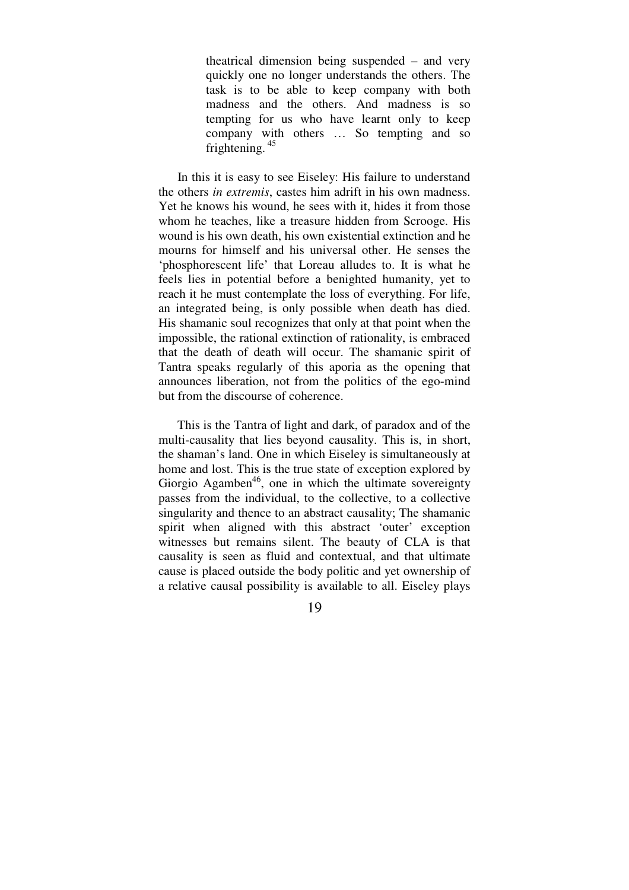theatrical dimension being suspended – and very quickly one no longer understands the others. The task is to be able to keep company with both madness and the others. And madness is so tempting for us who have learnt only to keep company with others … So tempting and so frightening.  $45$ 

 In this it is easy to see Eiseley: His failure to understand the others *in extremis*, castes him adrift in his own madness. Yet he knows his wound, he sees with it, hides it from those whom he teaches, like a treasure hidden from Scrooge. His wound is his own death, his own existential extinction and he mourns for himself and his universal other. He senses the 'phosphorescent life' that Loreau alludes to. It is what he feels lies in potential before a benighted humanity, yet to reach it he must contemplate the loss of everything. For life, an integrated being, is only possible when death has died. His shamanic soul recognizes that only at that point when the impossible, the rational extinction of rationality, is embraced that the death of death will occur. The shamanic spirit of Tantra speaks regularly of this aporia as the opening that announces liberation, not from the politics of the ego-mind but from the discourse of coherence.

 This is the Tantra of light and dark, of paradox and of the multi-causality that lies beyond causality. This is, in short, the shaman's land. One in which Eiseley is simultaneously at home and lost. This is the true state of exception explored by Giorgio Agamben<sup>46</sup>, one in which the ultimate sovereignty passes from the individual, to the collective, to a collective singularity and thence to an abstract causality; The shamanic spirit when aligned with this abstract 'outer' exception witnesses but remains silent. The beauty of CLA is that causality is seen as fluid and contextual, and that ultimate cause is placed outside the body politic and yet ownership of a relative causal possibility is available to all. Eiseley plays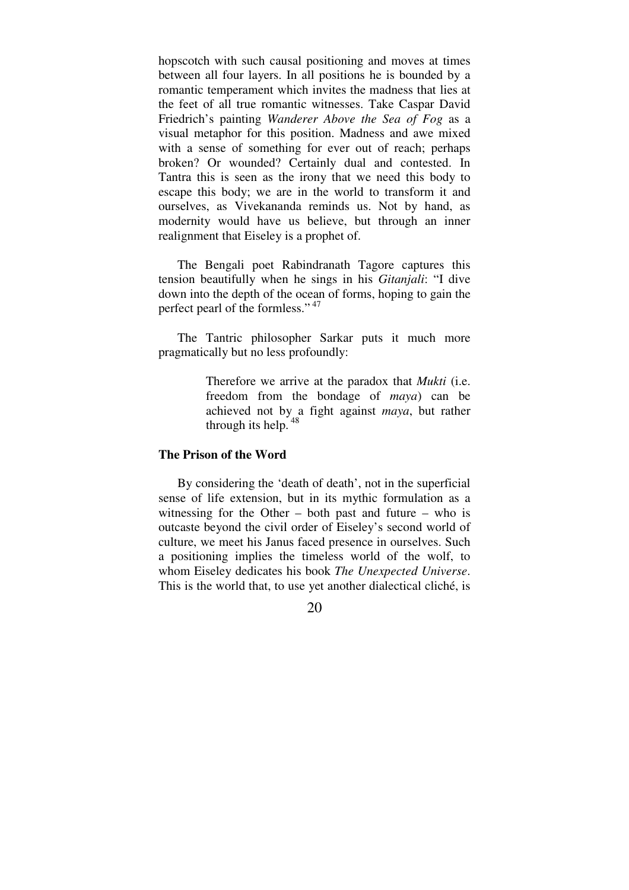hopscotch with such causal positioning and moves at times between all four layers. In all positions he is bounded by a romantic temperament which invites the madness that lies at the feet of all true romantic witnesses. Take Caspar David Friedrich's painting *Wanderer Above the Sea of Fog* as a visual metaphor for this position. Madness and awe mixed with a sense of something for ever out of reach; perhaps broken? Or wounded? Certainly dual and contested. In Tantra this is seen as the irony that we need this body to escape this body; we are in the world to transform it and ourselves, as Vivekananda reminds us. Not by hand, as modernity would have us believe, but through an inner realignment that Eiseley is a prophet of.

 The Bengali poet Rabindranath Tagore captures this tension beautifully when he sings in his *Gitanjali*: "I dive down into the depth of the ocean of forms, hoping to gain the perfect pearl of the formless."<sup>47</sup>

 The Tantric philosopher Sarkar puts it much more pragmatically but no less profoundly:

> Therefore we arrive at the paradox that *Mukti* (i.e. freedom from the bondage of *maya*) can be achieved not by a fight against *maya*, but rather through its help.  $48$

# **The Prison of the Word**

 By considering the 'death of death', not in the superficial sense of life extension, but in its mythic formulation as a witnessing for the Other – both past and future – who is outcaste beyond the civil order of Eiseley's second world of culture, we meet his Janus faced presence in ourselves. Such a positioning implies the timeless world of the wolf, to whom Eiseley dedicates his book *The Unexpected Universe*. This is the world that, to use yet another dialectical cliché, is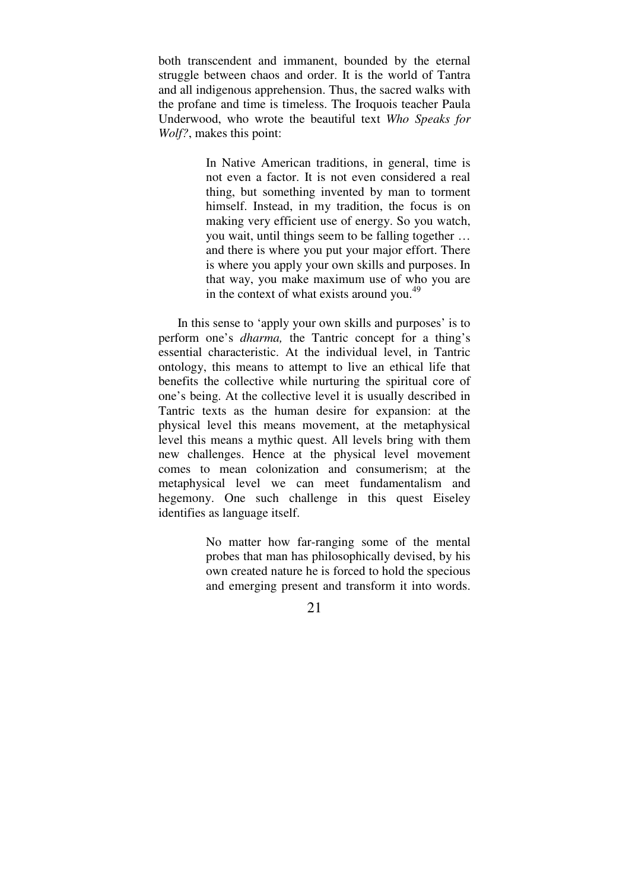both transcendent and immanent, bounded by the eternal struggle between chaos and order. It is the world of Tantra and all indigenous apprehension. Thus, the sacred walks with the profane and time is timeless. The Iroquois teacher Paula Underwood, who wrote the beautiful text *Who Speaks for Wolf?*, makes this point:

> In Native American traditions, in general, time is not even a factor. It is not even considered a real thing, but something invented by man to torment himself. Instead, in my tradition, the focus is on making very efficient use of energy. So you watch, you wait, until things seem to be falling together … and there is where you put your major effort. There is where you apply your own skills and purposes. In that way, you make maximum use of who you are in the context of what exists around you. $^{49}$

 In this sense to 'apply your own skills and purposes' is to perform one's *dharma,* the Tantric concept for a thing's essential characteristic. At the individual level, in Tantric ontology, this means to attempt to live an ethical life that benefits the collective while nurturing the spiritual core of one's being. At the collective level it is usually described in Tantric texts as the human desire for expansion: at the physical level this means movement, at the metaphysical level this means a mythic quest. All levels bring with them new challenges. Hence at the physical level movement comes to mean colonization and consumerism; at the metaphysical level we can meet fundamentalism and hegemony. One such challenge in this quest Eiseley identifies as language itself.

> No matter how far-ranging some of the mental probes that man has philosophically devised, by his own created nature he is forced to hold the specious and emerging present and transform it into words.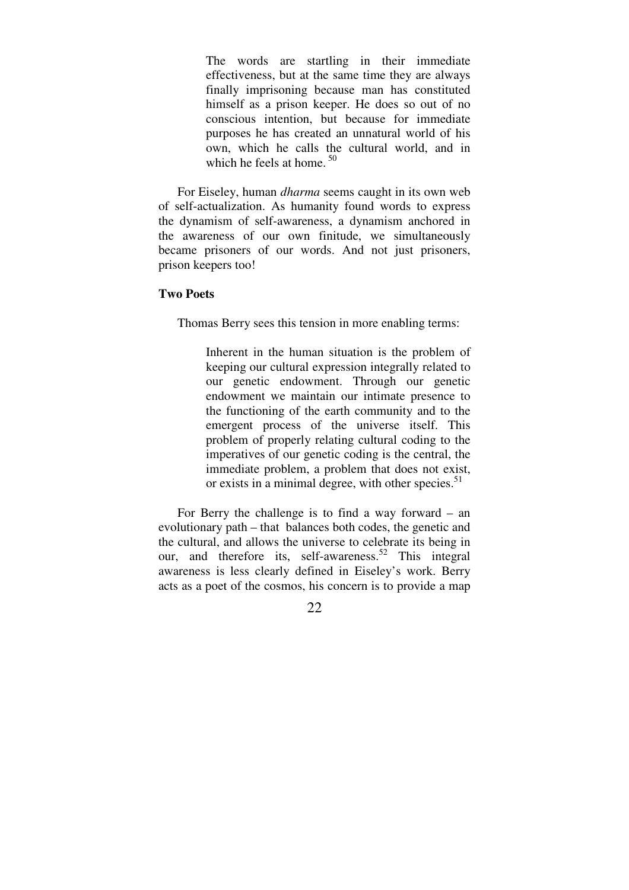The words are startling in their immediate effectiveness, but at the same time they are always finally imprisoning because man has constituted himself as a prison keeper. He does so out of no conscious intention, but because for immediate purposes he has created an unnatural world of his own, which he calls the cultural world, and in which he feels at home.  $50$ 

 For Eiseley, human *dharma* seems caught in its own web of self-actualization. As humanity found words to express the dynamism of self-awareness, a dynamism anchored in the awareness of our own finitude, we simultaneously became prisoners of our words. And not just prisoners, prison keepers too!

#### **Two Poets**

Thomas Berry sees this tension in more enabling terms:

Inherent in the human situation is the problem of keeping our cultural expression integrally related to our genetic endowment. Through our genetic endowment we maintain our intimate presence to the functioning of the earth community and to the emergent process of the universe itself. This problem of properly relating cultural coding to the imperatives of our genetic coding is the central, the immediate problem, a problem that does not exist, or exists in a minimal degree, with other species.<sup>51</sup>

 For Berry the challenge is to find a way forward – an evolutionary path – that balances both codes, the genetic and the cultural, and allows the universe to celebrate its being in our, and therefore its, self-awareness.<sup>52</sup> This integral awareness is less clearly defined in Eiseley's work. Berry acts as a poet of the cosmos, his concern is to provide a map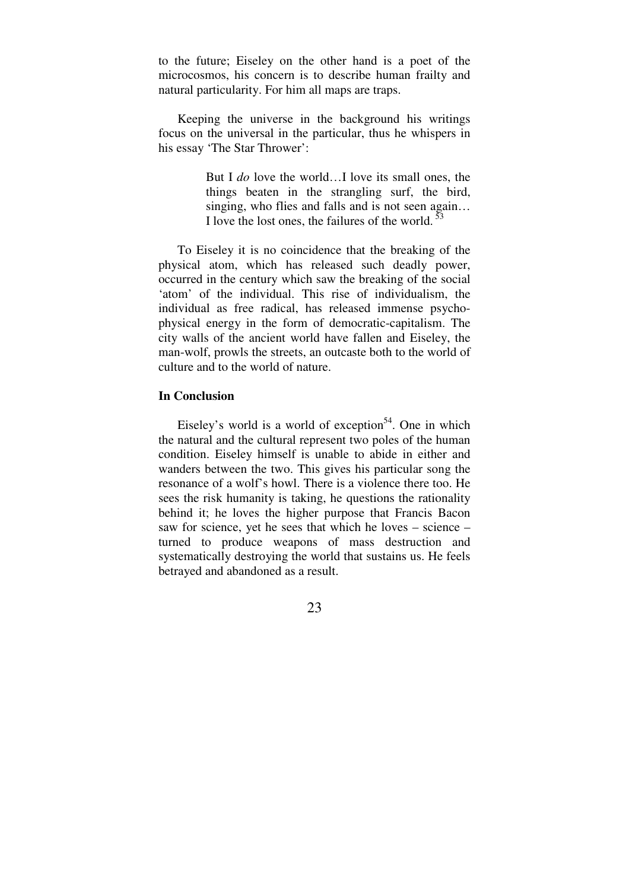to the future; Eiseley on the other hand is a poet of the microcosmos, his concern is to describe human frailty and natural particularity. For him all maps are traps.

 Keeping the universe in the background his writings focus on the universal in the particular, thus he whispers in his essay 'The Star Thrower':

> But I *do* love the world…I love its small ones, the things beaten in the strangling surf, the bird, singing, who flies and falls and is not seen again… I love the lost ones, the failures of the world. $53$

 To Eiseley it is no coincidence that the breaking of the physical atom, which has released such deadly power, occurred in the century which saw the breaking of the social 'atom' of the individual. This rise of individualism, the individual as free radical, has released immense psychophysical energy in the form of democratic-capitalism. The city walls of the ancient world have fallen and Eiseley, the man-wolf, prowls the streets, an outcaste both to the world of culture and to the world of nature.

# **In Conclusion**

Eiseley's world is a world of exception<sup>54</sup>. One in which the natural and the cultural represent two poles of the human condition. Eiseley himself is unable to abide in either and wanders between the two. This gives his particular song the resonance of a wolf's howl. There is a violence there too. He sees the risk humanity is taking, he questions the rationality behind it; he loves the higher purpose that Francis Bacon saw for science, yet he sees that which he loves – science – turned to produce weapons of mass destruction and systematically destroying the world that sustains us. He feels betrayed and abandoned as a result.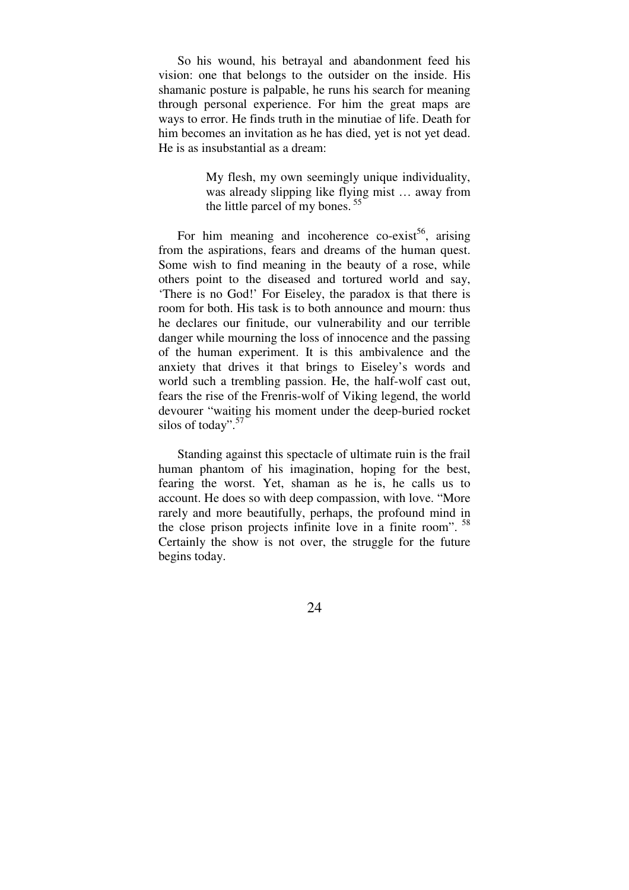So his wound, his betrayal and abandonment feed his vision: one that belongs to the outsider on the inside. His shamanic posture is palpable, he runs his search for meaning through personal experience. For him the great maps are ways to error. He finds truth in the minutiae of life. Death for him becomes an invitation as he has died, yet is not yet dead. He is as insubstantial as a dream:

> My flesh, my own seemingly unique individuality, was already slipping like flying mist … away from the little parcel of my bones.<sup>55</sup>

For him meaning and incoherence co-exist<sup>56</sup>, arising from the aspirations, fears and dreams of the human quest. Some wish to find meaning in the beauty of a rose, while others point to the diseased and tortured world and say, 'There is no God!' For Eiseley, the paradox is that there is room for both. His task is to both announce and mourn: thus he declares our finitude, our vulnerability and our terrible danger while mourning the loss of innocence and the passing of the human experiment. It is this ambivalence and the anxiety that drives it that brings to Eiseley's words and world such a trembling passion. He, the half-wolf cast out, fears the rise of the Frenris-wolf of Viking legend, the world devourer "waiting his moment under the deep-buried rocket silos of today".<sup>57</sup>

 Standing against this spectacle of ultimate ruin is the frail human phantom of his imagination, hoping for the best, fearing the worst. Yet, shaman as he is, he calls us to account. He does so with deep compassion, with love. "More rarely and more beautifully, perhaps, the profound mind in the close prison projects infinite love in a finite room".  $58$ Certainly the show is not over, the struggle for the future begins today.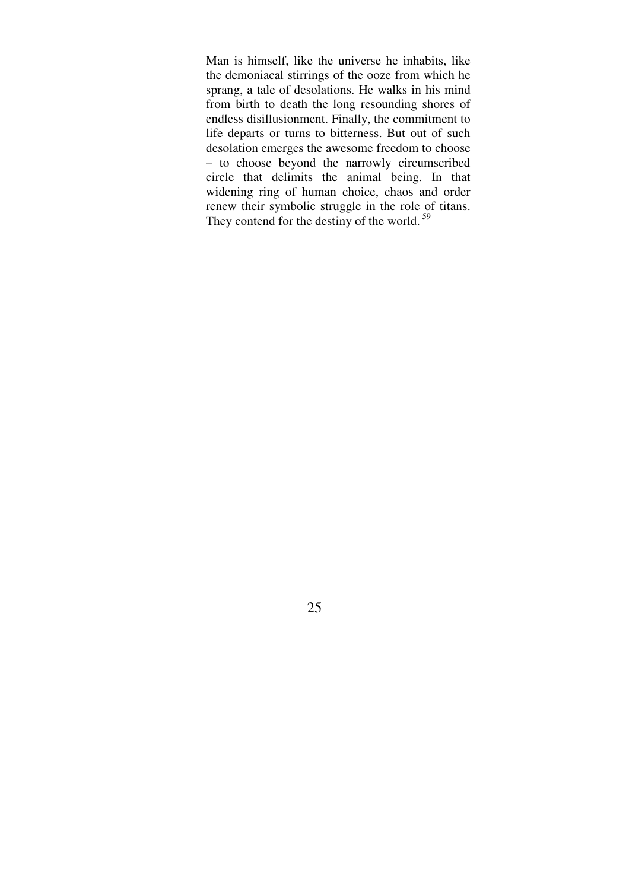Man is himself, like the universe he inhabits, like the demoniacal stirrings of the ooze from which he sprang, a tale of desolations. He walks in his mind from birth to death the long resounding shores of endless disillusionment. Finally, the commitment to life departs or turns to bitterness. But out of such desolation emerges the awesome freedom to choose – to choose beyond the narrowly circumscribed circle that delimits the animal being. In that widening ring of human choice, chaos and order renew their symbolic struggle in the role of titans. They contend for the destiny of the world. $59$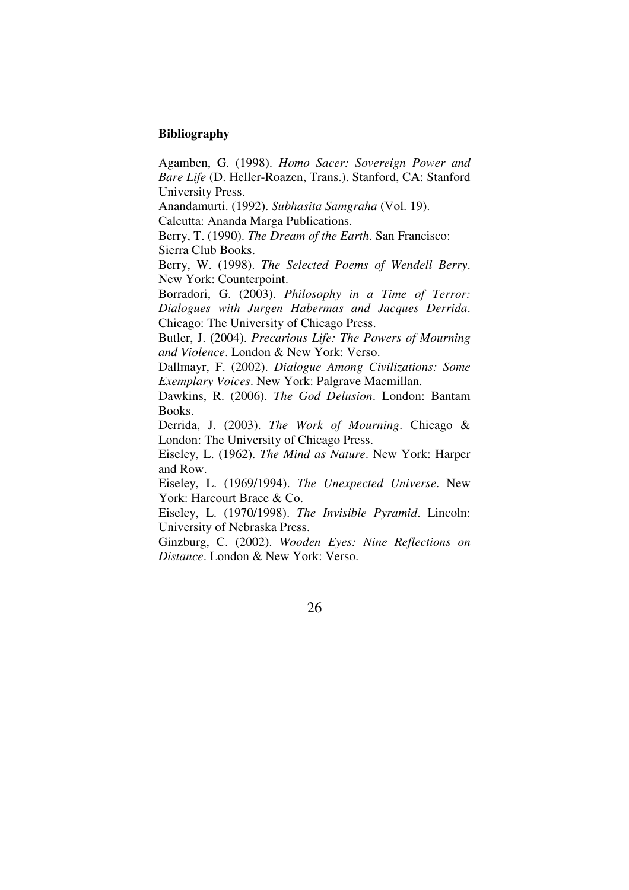# **Bibliography**

Agamben, G. (1998). *Homo Sacer: Sovereign Power and Bare Life* (D. Heller-Roazen, Trans.). Stanford, CA: Stanford University Press.

Anandamurti. (1992). *Subhasita Samgraha* (Vol. 19).

Calcutta: Ananda Marga Publications.

Berry, T. (1990). *The Dream of the Earth*. San Francisco: Sierra Club Books.

Berry, W. (1998). *The Selected Poems of Wendell Berry*. New York: Counterpoint.

Borradori, G. (2003). *Philosophy in a Time of Terror: Dialogues with Jurgen Habermas and Jacques Derrida*. Chicago: The University of Chicago Press.

Butler, J. (2004). *Precarious Life: The Powers of Mourning and Violence*. London & New York: Verso.

Dallmayr, F. (2002). *Dialogue Among Civilizations: Some Exemplary Voices*. New York: Palgrave Macmillan.

Dawkins, R. (2006). *The God Delusion*. London: Bantam Books.

Derrida, J. (2003). *The Work of Mourning*. Chicago & London: The University of Chicago Press.

Eiseley, L. (1962). *The Mind as Nature*. New York: Harper and Row.

Eiseley, L. (1969/1994). *The Unexpected Universe*. New York: Harcourt Brace & Co.

Eiseley, L. (1970/1998). *The Invisible Pyramid*. Lincoln: University of Nebraska Press.

Ginzburg, C. (2002). *Wooden Eyes: Nine Reflections on Distance*. London & New York: Verso.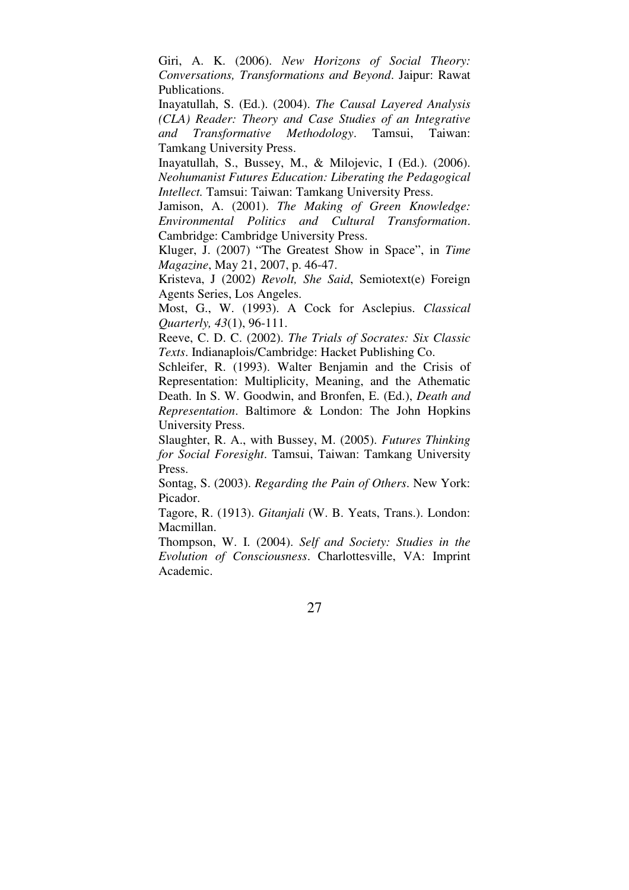Giri, A. K. (2006). *New Horizons of Social Theory: Conversations, Transformations and Beyond*. Jaipur: Rawat Publications.

Inayatullah, S. (Ed.). (2004). *The Causal Layered Analysis (CLA) Reader: Theory and Case Studies of an Integrative and Transformative Methodology*. Tamsui, Taiwan: Tamkang University Press.

Inayatullah, S., Bussey, M., & Milojevic, I (Ed.). (2006). *Neohumanist Futures Education: Liberating the Pedagogical Intellect.* Tamsui: Taiwan: Tamkang University Press.

Jamison, A. (2001). *The Making of Green Knowledge: Environmental Politics and Cultural Transformation*. Cambridge: Cambridge University Press.

Kluger, J. (2007) "The Greatest Show in Space", in *Time Magazine*, May 21, 2007, p. 46-47.

Kristeva, J (2002) *Revolt, She Said*, Semiotext(e) Foreign Agents Series, Los Angeles.

Most, G., W. (1993). A Cock for Asclepius. *Classical Quarterly, 43*(1), 96-111.

Reeve, C. D. C. (2002). *The Trials of Socrates: Six Classic Texts*. Indianaplois/Cambridge: Hacket Publishing Co.

Schleifer, R. (1993). Walter Benjamin and the Crisis of Representation: Multiplicity, Meaning, and the Athematic Death. In S. W. Goodwin, and Bronfen, E. (Ed.), *Death and Representation*. Baltimore & London: The John Hopkins University Press.

Slaughter, R. A., with Bussey, M. (2005). *Futures Thinking for Social Foresight*. Tamsui, Taiwan: Tamkang University Press.

Sontag, S. (2003). *Regarding the Pain of Others*. New York: Picador.

Tagore, R. (1913). *Gitanjali* (W. B. Yeats, Trans.). London: Macmillan.

Thompson, W. I. (2004). *Self and Society: Studies in the Evolution of Consciousness*. Charlottesville, VA: Imprint Academic.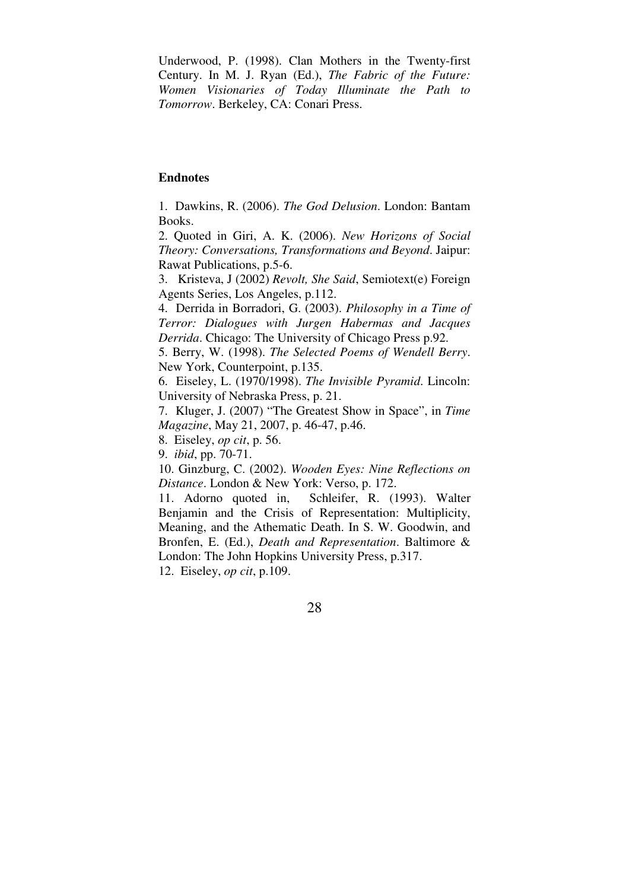Underwood, P. (1998). Clan Mothers in the Twenty-first Century. In M. J. Ryan (Ed.), *The Fabric of the Future: Women Visionaries of Today Illuminate the Path to Tomorrow*. Berkeley, CA: Conari Press.

# **Endnotes**

1. Dawkins, R. (2006). *The God Delusion*. London: Bantam Books.

2. Quoted in Giri, A. K. (2006). *New Horizons of Social Theory: Conversations, Transformations and Beyond*. Jaipur: Rawat Publications, p.5-6.

3. Kristeva, J (2002) *Revolt, She Said*, Semiotext(e) Foreign Agents Series, Los Angeles, p.112.

4. Derrida in Borradori, G. (2003). *Philosophy in a Time of Terror: Dialogues with Jurgen Habermas and Jacques Derrida*. Chicago: The University of Chicago Press p.92.

5. Berry, W. (1998). *The Selected Poems of Wendell Berry*. New York, Counterpoint, p.135.

6. Eiseley, L. (1970/1998). *The Invisible Pyramid*. Lincoln: University of Nebraska Press, p. 21.

7. Kluger, J. (2007) "The Greatest Show in Space", in *Time Magazine*, May 21, 2007, p. 46-47, p.46.

8. Eiseley, *op cit*, p. 56.

9. *ibid*, pp. 70-71.

10. Ginzburg, C. (2002). *Wooden Eyes: Nine Reflections on Distance*. London & New York: Verso, p. 172.

11. Adorno quoted in, Schleifer, R. (1993). Walter Benjamin and the Crisis of Representation: Multiplicity, Meaning, and the Athematic Death. In S. W. Goodwin, and Bronfen, E. (Ed.), *Death and Representation*. Baltimore & London: The John Hopkins University Press, p.317.

12. Eiseley, *op cit*, p.109.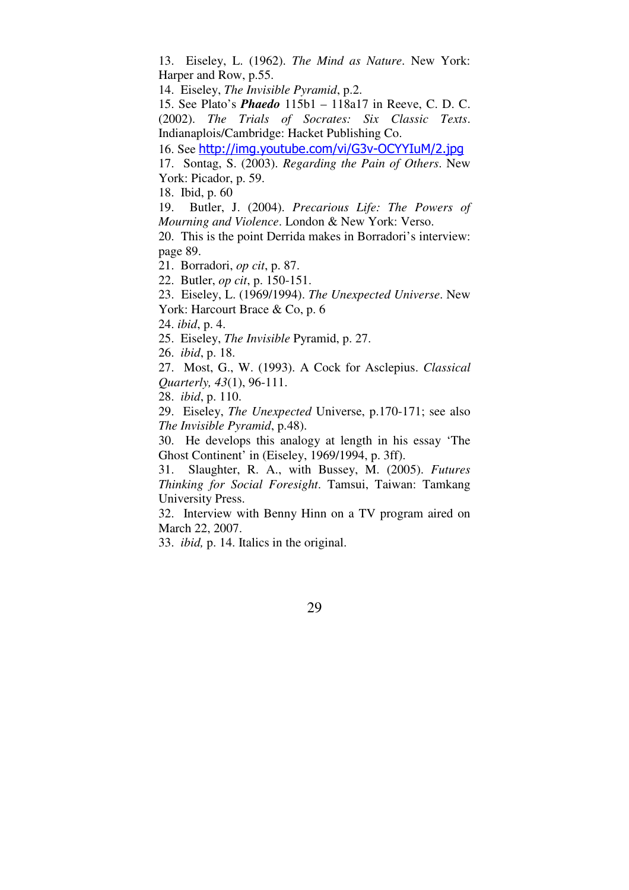13. Eiseley, L. (1962). *The Mind as Nature*. New York: Harper and Row, p.55.

14. Eiseley, *The Invisible Pyramid*, p.2.

15. See Plato's *Phaedo* 115b1 – 118a17 in Reeve, C. D. C. (2002). *The Trials of Socrates: Six Classic Texts*. Indianaplois/Cambridge: Hacket Publishing Co.

16. See http://img.youtube.com/vi/G3v-OCYYIuM/2.jpg

17. Sontag, S. (2003). *Regarding the Pain of Others*. New York: Picador, p. 59.

18. Ibid, p. 60

19. Butler, J. (2004). *Precarious Life: The Powers of Mourning and Violence*. London & New York: Verso.

20. This is the point Derrida makes in Borradori's interview: page 89.

21. Borradori, *op cit*, p. 87.

22. Butler, *op cit*, p. 150-151.

23. Eiseley, L. (1969/1994). *The Unexpected Universe*. New York: Harcourt Brace & Co, p. 6

24. *ibid*, p. 4.

25. Eiseley, *The Invisible* Pyramid, p. 27.

26. *ibid*, p. 18.

27. Most, G., W. (1993). A Cock for Asclepius. *Classical Quarterly, 43*(1), 96-111.

28. *ibid*, p. 110.

29. Eiseley, *The Unexpected* Universe, p.170-171; see also *The Invisible Pyramid*, p.48).

30. He develops this analogy at length in his essay 'The Ghost Continent' in (Eiseley, 1969/1994, p. 3ff).

31. Slaughter, R. A., with Bussey, M. (2005). *Futures Thinking for Social Foresight*. Tamsui, Taiwan: Tamkang University Press.

32. Interview with Benny Hinn on a TV program aired on March 22, 2007.

33. *ibid,* p. 14. Italics in the original.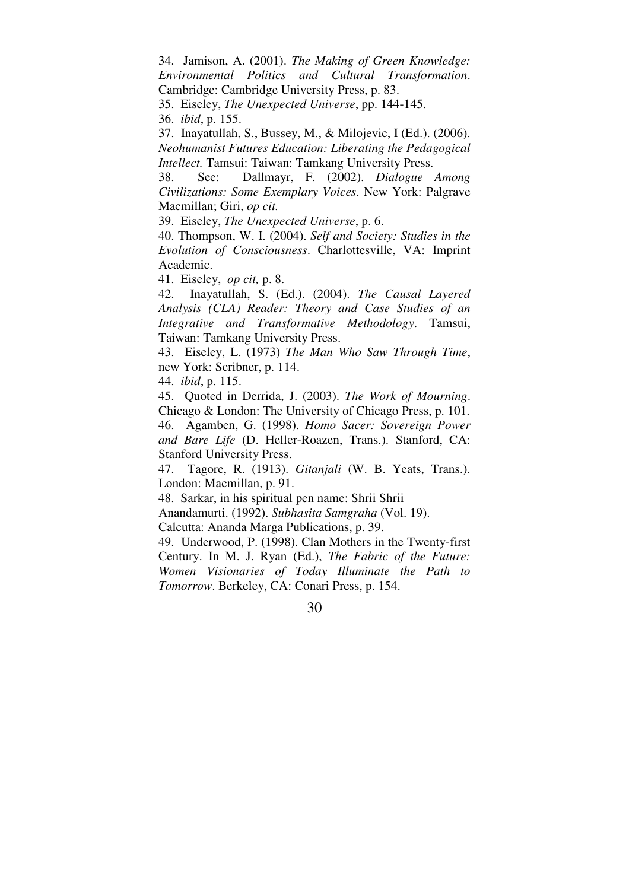34. Jamison, A. (2001). *The Making of Green Knowledge: Environmental Politics and Cultural Transformation*. Cambridge: Cambridge University Press, p. 83.

35. Eiseley, *The Unexpected Universe*, pp. 144-145.

36. *ibid*, p. 155.

37. Inayatullah, S., Bussey, M., & Milojevic, I (Ed.). (2006). *Neohumanist Futures Education: Liberating the Pedagogical Intellect.* Tamsui: Taiwan: Tamkang University Press.

38. See: Dallmayr, F. (2002). *Dialogue Among Civilizations: Some Exemplary Voices*. New York: Palgrave Macmillan; Giri, *op cit.*

39. Eiseley, *The Unexpected Universe*, p. 6.

40. Thompson, W. I. (2004). *Self and Society: Studies in the Evolution of Consciousness*. Charlottesville, VA: Imprint Academic.

41. Eiseley, *op cit,* p. 8.

42. Inayatullah, S. (Ed.). (2004). *The Causal Layered Analysis (CLA) Reader: Theory and Case Studies of an Integrative and Transformative Methodology*. Tamsui, Taiwan: Tamkang University Press.

43. Eiseley, L. (1973) *The Man Who Saw Through Time*, new York: Scribner, p. 114.

44. *ibid*, p. 115.

45. Quoted in Derrida, J. (2003). *The Work of Mourning*. Chicago & London: The University of Chicago Press, p. 101.

46. Agamben, G. (1998). *Homo Sacer: Sovereign Power and Bare Life* (D. Heller-Roazen, Trans.). Stanford, CA: Stanford University Press.

47. Tagore, R. (1913). *Gitanjali* (W. B. Yeats, Trans.). London: Macmillan, p. 91.

48. Sarkar, in his spiritual pen name: Shrii Shrii

Anandamurti. (1992). *Subhasita Samgraha* (Vol. 19).

Calcutta: Ananda Marga Publications, p. 39.

49. Underwood, P. (1998). Clan Mothers in the Twenty-first Century. In M. J. Ryan (Ed.), *The Fabric of the Future: Women Visionaries of Today Illuminate the Path to Tomorrow*. Berkeley, CA: Conari Press, p. 154.